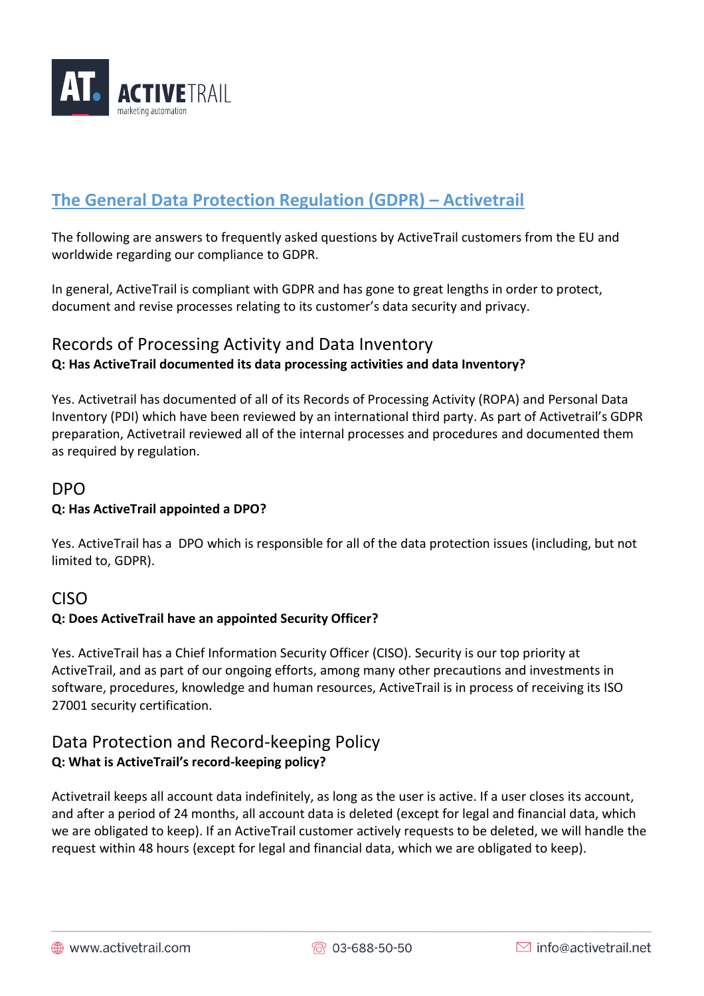

# **The General Data Protection Regulation (GDPR) – Activetrail**

The following are answers to frequently asked questions by ActiveTrail customers from the EU and worldwide regarding our compliance to GDPR.

In general, ActiveTrail is compliant with GDPR and has gone to great lengths in order to protect, document and revise processes relating to its customer's data security and privacy.

## Records of Processing Activity and Data Inventory **Q: Has ActiveTrail documented its data processing activities and data Inventory?**

Yes. Activetrail has documented of all of its Records of Processing Activity (ROPA) and Personal Data Inventory (PDI) which have been reviewed by an international third party. As part of Activetrail's GDPR preparation, Activetrail reviewed all of the internal processes and procedures and documented them as required by regulation.

#### DPO

#### **Q: Has ActiveTrail appointed a DPO?**

Yes. ActiveTrail has a DPO which is responsible for all of the data protection issues (including, but not limited to, GDPR).

### CISO

#### **Q: Does ActiveTrail have an appointed Security Officer?**

Yes. ActiveTrail has a Chief Information Security Officer (CISO). Security is our top priority at ActiveTrail, and as part of our ongoing efforts, among many other precautions and investments in software, procedures, knowledge and human resources, ActiveTrail is in process of receiving its ISO 27001 security certification.

### Data Protection and Record-keeping Policy **Q: What is ActiveTrail's record-keeping policy?**

Activetrail keeps all account data indefinitely, as long as the user is active. If a user closes its account, and after a period of 24 months, all account data is deleted (except for legal and financial data, which we are obligated to keep). If an ActiveTrail customer actively requests to be deleted, we will handle the request within 48 hours (except for legal and financial data, which we are obligated to keep).